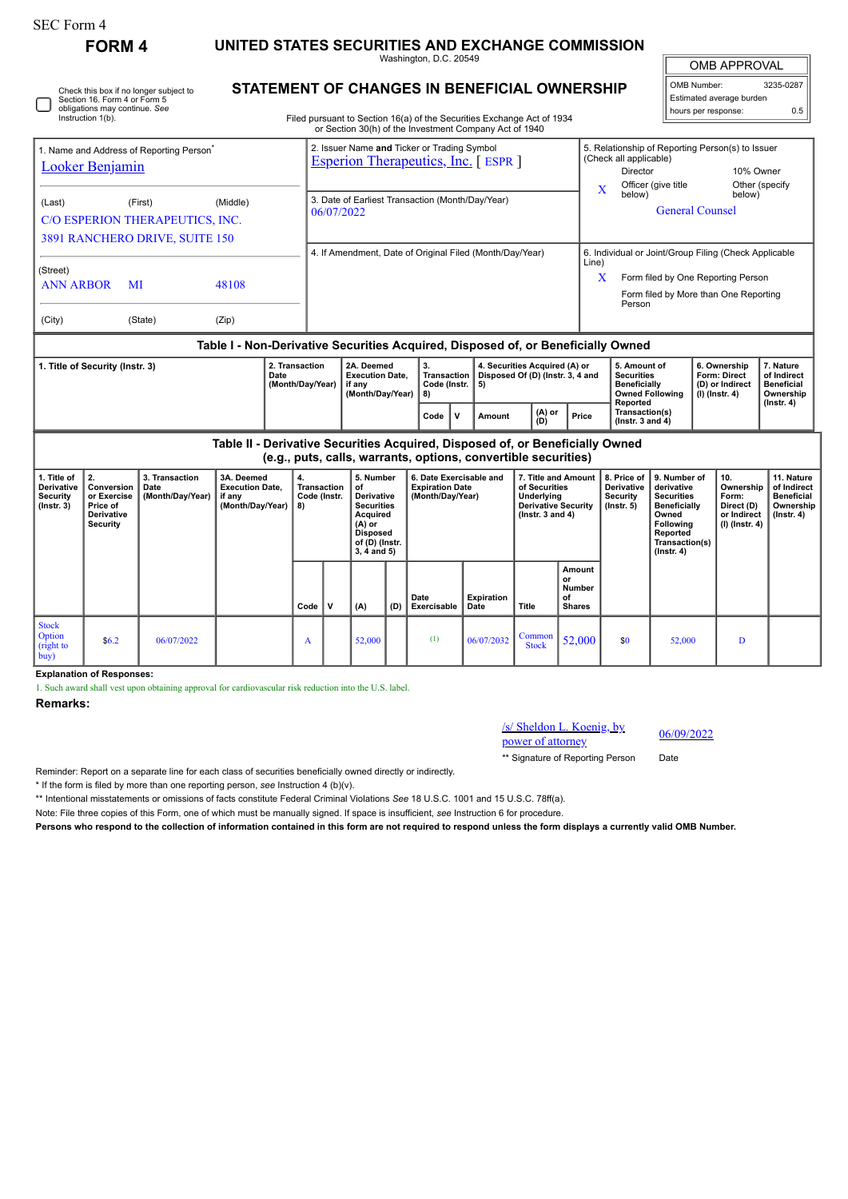| SEC Form 4                                                                                                                                                                          |                                                                                     |                                            |                                                                               |                                                                        |                                                                                                                                  |                                                                                  |                                                                                                                                    |                                                |                                                                                                                                  |                                                                         |                    |                                                                                                                                      |                                                                                                |                                                                                                        |                                                                                                                                                |                                                                     |                                                                                |                                                                                 |  |
|-------------------------------------------------------------------------------------------------------------------------------------------------------------------------------------|-------------------------------------------------------------------------------------|--------------------------------------------|-------------------------------------------------------------------------------|------------------------------------------------------------------------|----------------------------------------------------------------------------------------------------------------------------------|----------------------------------------------------------------------------------|------------------------------------------------------------------------------------------------------------------------------------|------------------------------------------------|----------------------------------------------------------------------------------------------------------------------------------|-------------------------------------------------------------------------|--------------------|--------------------------------------------------------------------------------------------------------------------------------------|------------------------------------------------------------------------------------------------|--------------------------------------------------------------------------------------------------------|------------------------------------------------------------------------------------------------------------------------------------------------|---------------------------------------------------------------------|--------------------------------------------------------------------------------|---------------------------------------------------------------------------------|--|
|                                                                                                                                                                                     | <b>FORM4</b>                                                                        |                                            | UNITED STATES SECURITIES AND EXCHANGE COMMISSION<br>Washington, D.C. 20549    |                                                                        |                                                                                                                                  |                                                                                  |                                                                                                                                    |                                                |                                                                                                                                  |                                                                         |                    |                                                                                                                                      |                                                                                                |                                                                                                        |                                                                                                                                                |                                                                     | <b>OMB APPROVAL</b>                                                            |                                                                                 |  |
| <b>STATEMENT OF CHANGES IN BENEFICIAL OWNERSHIP</b><br>Check this box if no longer subject to<br>Section 16. Form 4 or Form 5<br>obligations may continue. See<br>Instruction 1(b). |                                                                                     |                                            |                                                                               |                                                                        |                                                                                                                                  |                                                                                  |                                                                                                                                    |                                                | Filed pursuant to Section 16(a) of the Securities Exchange Act of 1934<br>or Section 30(h) of the Investment Company Act of 1940 |                                                                         |                    |                                                                                                                                      |                                                                                                |                                                                                                        | OMB Number:                                                                                                                                    | Estimated average burden<br>hours per response:                     | 3235-0287<br>0.5                                                               |                                                                                 |  |
| 1. Name and Address of Reporting Person <sup>7</sup><br>Looker Benjamin                                                                                                             |                                                                                     |                                            |                                                                               |                                                                        | 2. Issuer Name and Ticker or Trading Symbol<br>(Check all applicable)<br><b>Esperion Therapeutics, Inc.</b> [ ESPR ]<br>Director |                                                                                  |                                                                                                                                    |                                                |                                                                                                                                  |                                                                         |                    |                                                                                                                                      |                                                                                                | 5. Relationship of Reporting Person(s) to Issuer<br>10% Owner<br>Officer (give title<br>Other (specify |                                                                                                                                                |                                                                     |                                                                                |                                                                                 |  |
| (First)<br>(Middle)<br>(Last)<br>C/O ESPERION THERAPEUTICS, INC.<br>3891 RANCHERO DRIVE, SUITE 150                                                                                  |                                                                                     |                                            |                                                                               |                                                                        |                                                                                                                                  | X<br>below)<br>3. Date of Earliest Transaction (Month/Day/Year)<br>06/07/2022    |                                                                                                                                    |                                                |                                                                                                                                  |                                                                         |                    |                                                                                                                                      |                                                                                                |                                                                                                        |                                                                                                                                                | below)<br><b>General Counsel</b>                                    |                                                                                |                                                                                 |  |
| (Street)<br><b>ANN ARBOR</b>                                                                                                                                                        | 48108                                                                               |                                            |                                                                               | 4. If Amendment, Date of Original Filed (Month/Day/Year)<br>Line)<br>X |                                                                                                                                  |                                                                                  |                                                                                                                                    |                                                |                                                                                                                                  |                                                                         |                    | 6. Individual or Joint/Group Filing (Check Applicable<br>Form filed by One Reporting Person<br>Form filed by More than One Reporting |                                                                                                |                                                                                                        |                                                                                                                                                |                                                                     |                                                                                |                                                                                 |  |
| (City)<br>(State)<br>(Zip)                                                                                                                                                          |                                                                                     |                                            |                                                                               |                                                                        |                                                                                                                                  | Table I - Non-Derivative Securities Acquired, Disposed of, or Beneficially Owned |                                                                                                                                    |                                                |                                                                                                                                  |                                                                         |                    |                                                                                                                                      |                                                                                                | Person                                                                                                 |                                                                                                                                                |                                                                     |                                                                                |                                                                                 |  |
| 2. Transaction<br>1. Title of Security (Instr. 3)<br>Date<br>(Month/Day/Year)                                                                                                       |                                                                                     |                                            |                                                                               |                                                                        |                                                                                                                                  | 2A. Deemed<br><b>Execution Date,</b><br>if any<br>(Month/Day/Year)               |                                                                                                                                    | 3.<br><b>Transaction</b><br>Code (Instr.<br>8) |                                                                                                                                  | 4. Securities Acquired (A) or<br>Disposed Of (D) (Instr. 3, 4 and<br>5) |                    |                                                                                                                                      | 5. Amount of<br><b>Securities</b><br><b>Beneficially</b><br><b>Owned Following</b><br>Reported |                                                                                                        |                                                                                                                                                | 6. Ownership<br>Form: Direct<br>(D) or Indirect<br>$(I)$ (Instr. 4) | 7. Nature<br>of Indirect<br><b>Beneficial</b><br>Ownership<br>$($ Instr. 4 $)$ |                                                                                 |  |
|                                                                                                                                                                                     |                                                                                     |                                            |                                                                               |                                                                        |                                                                                                                                  |                                                                                  |                                                                                                                                    | Code                                           | $\mathbf v$                                                                                                                      | Amount                                                                  | (A) or<br>(D)      | Price                                                                                                                                | Transaction(s)<br>( $lnstr. 3 and 4$ )                                                         |                                                                                                        |                                                                                                                                                |                                                                     |                                                                                |                                                                                 |  |
|                                                                                                                                                                                     |                                                                                     |                                            | Table II - Derivative Securities Acquired, Disposed of, or Beneficially Owned |                                                                        |                                                                                                                                  |                                                                                  |                                                                                                                                    |                                                | (e.g., puts, calls, warrants, options, convertible securities)                                                                   |                                                                         |                    |                                                                                                                                      |                                                                                                |                                                                                                        |                                                                                                                                                |                                                                     |                                                                                |                                                                                 |  |
| 1. Title of<br>Derivative<br>Security<br>$($ lnstr. 3 $)$                                                                                                                           | 2.<br>Conversion<br>or Exercise<br>Price of<br><b>Derivative</b><br><b>Security</b> | 3. Transaction<br>Date<br>(Month/Day/Year) | 3A. Deemed<br><b>Execution Date,</b><br>if any<br>(Month/Day/Year)            |                                                                        | 4.<br>Transaction<br>Code (Instr.<br>8)                                                                                          |                                                                                  | 5. Number<br>of<br><b>Derivative</b><br>Securities<br>Acquired<br>$(A)$ or<br><b>Disposed</b><br>of (D) (Instr.<br>$3, 4$ and $5)$ |                                                | 6. Date Exercisable and<br><b>Expiration Date</b><br>(Month/Day/Year)                                                            |                                                                         |                    | 7. Title and Amount<br>of Securities<br>Underlying<br><b>Derivative Security</b><br>$($ lnstr. 3 and 4 $)$                           |                                                                                                | 8. Price of<br><b>Derivative</b><br><b>Security</b><br>$($ lnstr. $5)$                                 | 9. Number of<br>derivative<br><b>Securities</b><br><b>Beneficially</b><br>Owned<br>Following<br>Reported<br>Transaction(s)<br>$($ Instr. 4 $)$ |                                                                     | 10.<br>Ownership<br>Form:<br>Direct (D)<br>or Indirect<br>(I) (Instr. 4)       | 11. Nature<br>of Indirect<br><b>Beneficial</b><br>Ownership<br>$($ Instr. 4 $)$ |  |
|                                                                                                                                                                                     |                                                                                     |                                            |                                                                               |                                                                        | Code                                                                                                                             | v                                                                                | (A)                                                                                                                                | (D)                                            | Date<br>Exercisable                                                                                                              |                                                                         | Expiration<br>Date | <b>Title</b>                                                                                                                         | Amount<br>or<br><b>Number</b><br>of<br><b>Shares</b>                                           |                                                                                                        |                                                                                                                                                |                                                                     |                                                                                |                                                                                 |  |
| <b>Stock</b><br>Option<br>(right to<br>buv)                                                                                                                                         | \$6.2                                                                               | 06/07/2022                                 |                                                                               |                                                                        | A                                                                                                                                |                                                                                  | 52,000                                                                                                                             |                                                | (1)                                                                                                                              |                                                                         | 06/07/2032         | Common<br><b>Stock</b>                                                                                                               | 52,000                                                                                         | \$0                                                                                                    | 52,000                                                                                                                                         |                                                                     | D                                                                              |                                                                                 |  |

**Explanation of Responses:**

1. Such award shall vest upon obtaining approval for cardiovascular risk reduction into the U.S. label.

## **Remarks:**

## /s/ Sheldon L. Koenig, by  $/s/ \text{Shelldon L. Koenig, by }$ <br>power of attorney 06/09/2022

\*\* Signature of Reporting Person Date

Reminder: Report on a separate line for each class of securities beneficially owned directly or indirectly.

\* If the form is filed by more than one reporting person, *see* Instruction 4 (b)(v).

\*\* Intentional misstatements or omissions of facts constitute Federal Criminal Violations *See* 18 U.S.C. 1001 and 15 U.S.C. 78ff(a).

Note: File three copies of this Form, one of which must be manually signed. If space is insufficient, *see* Instruction 6 for procedure.

**Persons who respond to the collection of information contained in this form are not required to respond unless the form displays a currently valid OMB Number.**